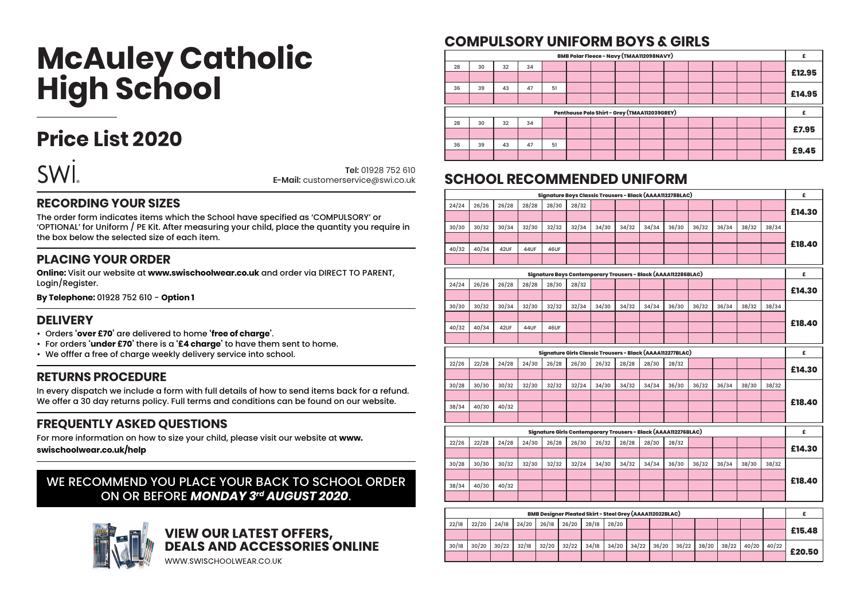# **McAuley Catholic High School**

### **Price List 2020**



**Tel:** 01928 752 610 **E-Mail:** customerservice@swi.co.uk

#### **RECORDING YOUR SIZES**

The order form indicates items which the School have specified as 'COMPULSORY' or 'OPTIONAL' for Uniform / PE Kit. After measuring your child, place the quantity you require in the box below the selected size of each item.

#### **PLACING YOUR ORDER**

**Online:** Visit our website at **www.swischoolwear.co.uk** and order via DIRECT TO PARENT, Login/Register.

**By Telephone:** 01928 752 610 - **Option 1**

#### **DELIVERY**

- Orders **'over £70'** are delivered to home **'free of charge'**.
- For orders **'under £70'** there is a **'£4 charge'** to have them sent to home.
- We offfer a free of charge weekly delivery service into school.

#### **RETURNS PROCEDURE**

In every dispatch we include a form with full details of how to send items back for a refund. We offer a 30 day returns policy. Full terms and conditions can be found on our website.

#### **FREQUENTLY ASKED QUESTIONS**

For more information on how to size your child, please visit our website at **www.**

**swischoolwear.co.uk/help**

#### WE RECOMMEND YOU PLACE YOUR BACK TO SCHOOL ORDER ON OR BEFORE *MONDAY 3rd AUGUST 2020*.



## **VIEW OUR LATEST OFFERS,<br>DEALS AND ACCESSORIES ONLINE**

WWW.SWISCHOOLWEAR.CO.UK

#### **COMPULSORY UNIFORM BOYS & GIRLS**

| £      |  |  | BMB Polar Fleece - Navy (TMAA112098NAVY)     |  |    |    |    |    |    |
|--------|--|--|----------------------------------------------|--|----|----|----|----|----|
|        |  |  |                                              |  |    | 34 | 32 | 30 | 28 |
| £12.95 |  |  |                                              |  |    |    |    |    |    |
|        |  |  |                                              |  | 51 | 47 | 43 | 39 | 36 |
| £14.95 |  |  |                                              |  |    |    |    |    |    |
|        |  |  |                                              |  |    |    |    |    |    |
|        |  |  | Penthouse Polo Shirt - Grey (TMAA112039GREY) |  |    |    |    |    |    |
|        |  |  |                                              |  |    | 34 | 32 | 30 | 28 |
| £7.95  |  |  |                                              |  |    |    |    |    |    |
| £9.45  |  |  |                                              |  | 51 | 47 | 43 | 39 | 36 |

#### **SCHOOL RECOMMENDED UNIFORM**

| £      |       |       |       |       |       |       |       | Signature Boys Classic Trousers - Black (AAAA112278BLAC)       |       |       |       |       |       |       |
|--------|-------|-------|-------|-------|-------|-------|-------|----------------------------------------------------------------|-------|-------|-------|-------|-------|-------|
|        |       |       |       |       |       |       |       |                                                                | 28/32 | 28/30 | 28/28 | 26/28 | 26/26 | 24/24 |
| £14.30 |       |       |       |       |       |       |       |                                                                |       |       |       |       |       |       |
|        | 38/34 | 38/32 | 36/34 | 36/32 | 36/30 | 34/34 | 34/32 | 34/30                                                          | 32/34 | 32/32 | 32/30 | 30/34 | 30/32 | 30/30 |
|        |       |       |       |       |       |       |       |                                                                |       |       |       |       |       |       |
| £18.40 |       |       |       |       |       |       |       |                                                                |       | 46UF  | 44UF  | 42UF  | 40/34 | 40/32 |
|        |       |       |       |       |       |       |       |                                                                |       |       |       |       |       |       |
| £      |       |       |       |       |       |       |       | Signature Boys Contemporary Trousers - Black (AAAA112286BLAC)  |       |       |       |       |       |       |
|        |       |       |       |       |       |       |       |                                                                | 28/32 | 28/30 | 28/28 | 26/28 | 26/26 | 24/24 |
| £14.30 |       |       |       |       |       |       |       |                                                                |       |       |       |       |       |       |
|        | 38/34 | 38/32 | 36/34 | 36/32 | 36/30 | 34/34 | 34/32 | 34/30                                                          | 32/34 | 32/32 | 32/30 | 30/34 | 30/32 | 30/30 |
|        |       |       |       |       |       |       |       |                                                                |       |       |       |       |       |       |
| £18.40 |       |       |       |       |       |       |       |                                                                |       | 46UF  | 44UF  | 42UF  | 40/34 | 40/32 |
|        |       |       |       |       |       |       |       |                                                                |       |       |       |       |       |       |
| £      |       |       |       |       |       |       |       | Signature Girls Classic Trousers - Black (AAAA112277BLAC)      |       |       |       |       |       |       |
|        |       |       |       |       | 28/32 | 28/30 | 28/28 | 26/32                                                          | 26/30 | 26/28 | 24/30 | 24/28 | 22/28 | 22/26 |
| £14.30 |       |       |       |       |       |       |       |                                                                |       |       |       |       |       |       |
|        | 38/32 | 38/30 | 36/34 | 36/32 | 36/30 | 34/34 | 34/32 | 34/30                                                          | 32/24 | 32/32 | 32/30 | 30/32 | 30/30 | 30/28 |
|        |       |       |       |       |       |       |       |                                                                |       |       |       |       |       |       |
| £18.40 |       |       |       |       |       |       |       |                                                                |       |       |       | 40/32 | 40/30 | 38/34 |
|        |       |       |       |       |       |       |       |                                                                |       |       |       |       |       |       |
| £      |       |       |       |       |       |       |       | Signature Girls Contemporary Trousers - Black (AAAA112276BLAC) |       |       |       |       |       |       |
|        |       |       |       |       | 28/32 | 28/30 | 28/28 | 26/32                                                          | 26/30 | 26/28 | 24/30 | 24/28 | 22/28 | 22/26 |
| £14.30 |       |       |       |       |       |       |       |                                                                |       |       |       |       |       |       |
|        | 38/32 | 38/30 | 36/34 | 36/32 | 36/30 | 34/34 | 34/32 | 34/30                                                          | 32/24 | 32/32 | 32/30 | 30/32 | 30/30 | 30/28 |
|        |       |       |       |       |       |       |       |                                                                |       |       |       |       |       |       |
| £18.40 |       |       |       |       |       |       |       |                                                                |       |       |       | 40/32 | 40/30 | 38/34 |
|        |       |       |       |       |       |       |       |                                                                |       |       |       |       |       |       |
|        |       |       |       |       |       |       |       |                                                                |       |       |       |       |       |       |

|        |       | BMB Designer Pleated Skirt - Steel Grey (AAAA112022BLAC) |       |       |  |               |       |                     |  |             |  |                     |       |       |       |
|--------|-------|----------------------------------------------------------|-------|-------|--|---------------|-------|---------------------|--|-------------|--|---------------------|-------|-------|-------|
|        |       |                                                          |       |       |  |               |       | $'28/20$ ,          |  | 26/20 28/18 |  | $24/20$ 26/18       | 24/18 | 22/20 | 22/18 |
| £15.48 |       |                                                          |       |       |  |               |       |                     |  |             |  |                     |       |       |       |
|        | 40/22 | 40/20                                                    | 38/22 | 38/20 |  | $36/20$ 36/22 | 34/22 | $32/22$ 34/18 34/20 |  |             |  | $30/22$ 32/18 32/20 |       | 30/20 | 30/18 |
| £20.50 |       |                                                          |       |       |  |               |       |                     |  |             |  |                     |       |       |       |